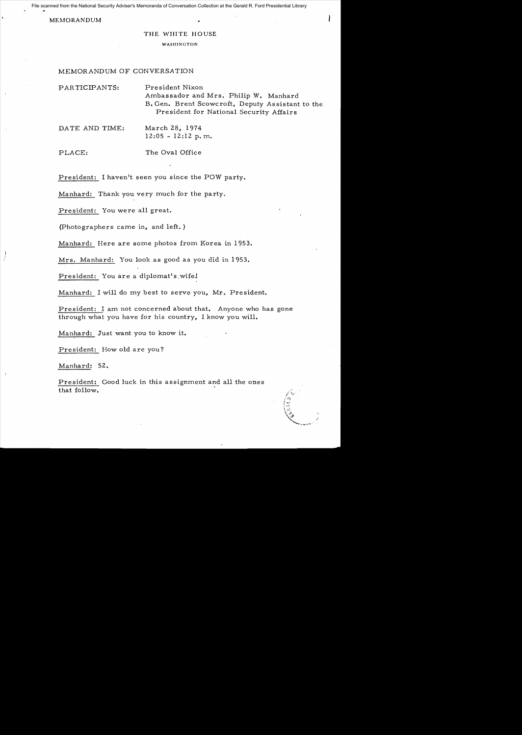File scanned from the National Security Adviser's Memoranda of Conversation Collection at the Gerald R. Ford Presidential Library

MEMORANDUM

## THE WHITE HOUSE

## WASIIINGTON

## MEMORANDUM OF CONVERSATION

PARTICIPANTS: President Nixon Ambassador and Mrs. Philip W. Manhard B. Gen. Brent Scowcroft, Deputy *As* sistant to the President for National Security Affairs

DATE AND TIME: March 28, 1974  $12:05 - 12:12 \text{ p. m.}$ 

PLACE: The Oval Office

President: I haven't seen you since the POW party.

Manhard: Thank you very much for the party.

President: You were all great.

(Photographers came in, and left.)

Manhard: Here are some photos from Korea in 1953.

Mrs. Manhard: You look as good as you did in 1953.

President: You are a diplomat's wife!

Manhard: I will do my best to serve you, Mr. President.

President: I am. not concerned about that. *Anyone* who has gone through what you have for his country, I know you will.

Manhard: Just want you to know it.

President: How old are you?

Manhard: 52.

President: Good luck in this assignment and all the ones that follow.

ره ۱۹۹۱)<br>م